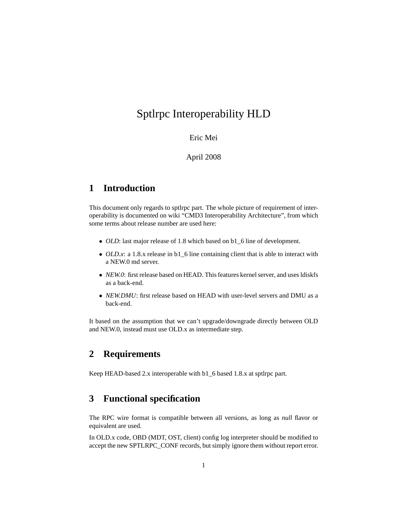# Sptlrpc Interoperability HLD

### Eric Mei

### April 2008

# **1 Introduction**

This document only regards to sptlrpc part. The whole picture of requirement of interoperability is documented on wiki "CMD3 Interoperability Architecture", from which some terms about release number are used here:

- *OLD*: last major release of 1.8 which based on b1\_6 line of development.
- *OLD.x*: a 1.8.x release in b1\_6 line containing client that is able to interact with a NEW.0 md server.
- *NEW.0*: first release based on HEAD. This features kernel server, and uses ldiskfs as a back-end.
- *NEW.DMU*: first release based on HEAD with user-level servers and DMU as a back-end.

It based on the assumption that we can't upgrade/downgrade directly between OLD and NEW.0, instead must use OLD.x as intermediate step.

# **2 Requirements**

Keep HEAD-based 2.x interoperable with b1\_6 based 1.8.x at sptlrpc part.

## **3 Functional specification**

The RPC wire format is compatible between all versions, as long as *null* flavor or equivalent are used.

In OLD.x code, OBD (MDT, OST, client) config log interpreter should be modified to accept the new SPTLRPC\_CONF records, but simply ignore them without report error.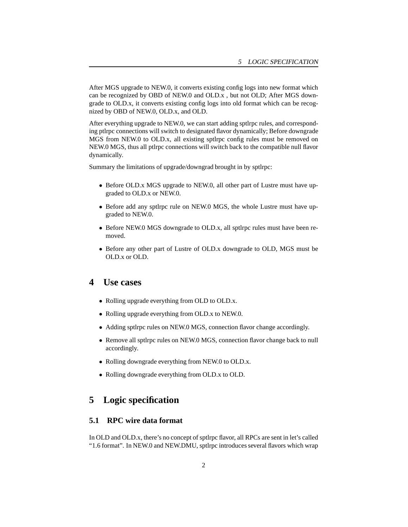After MGS upgrade to NEW.0, it converts existing config logs into new format which can be recognized by OBD of NEW.0 and OLD.x , but not OLD; After MGS downgrade to OLD.x, it converts existing config logs into old format which can be recognized by OBD of NEW.0, OLD.x, and OLD.

After everything upgrade to NEW.0, we can start adding sptlrpc rules, and corresponding ptlrpc connections will switch to designated flavor dynamically; Before downgrade MGS from NEW.0 to OLD.x, all existing sptlrpc config rules must be removed on NEW.0 MGS, thus all ptlrpc connections will switch back to the compatible null flavor dynamically.

Summary the limitations of upgrade/downgrad brought in by sptlrpc:

- Before OLD.x MGS upgrade to NEW.0, all other part of Lustre must have upgraded to OLD.x or NEW.0.
- Before add any sptlrpc rule on NEW.0 MGS, the whole Lustre must have upgraded to NEW.0.
- Before NEW.0 MGS downgrade to OLD.x, all sptlrpc rules must have been removed.
- Before any other part of Lustre of OLD.x downgrade to OLD, MGS must be OLD.x or OLD.

## **4 Use cases**

- Rolling upgrade everything from OLD to OLD.x.
- Rolling upgrade everything from OLD.x to NEW.0.
- Adding sptlrpc rules on NEW.0 MGS, connection flavor change accordingly.
- Remove all sptlrpc rules on NEW.0 MGS, connection flavor change back to null accordingly.
- Rolling downgrade everything from NEW.0 to OLD.x.
- Rolling downgrade everything from OLD.x to OLD.

# **5 Logic specification**

#### **5.1 RPC wire data format**

In OLD and OLD.x, there's no concept of sptlrpc flavor, all RPCs are sent in let's called "1.6 format". In NEW.0 and NEW.DMU, sptlrpc introduces several flavors which wrap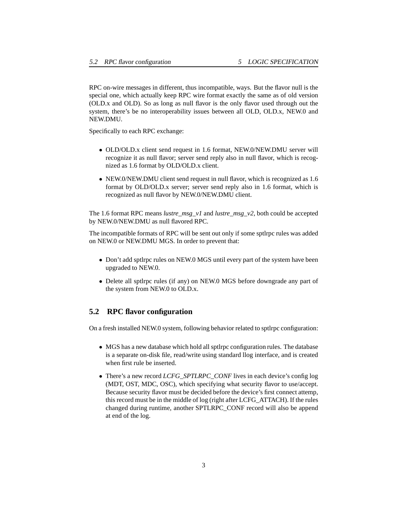RPC on-wire messages in different, thus incompatible, ways. But the flavor null is the special one, which actually keep RPC wire format exactly the same as of old version (OLD.x and OLD). So as long as null flavor is the only flavor used through out the system, there's be no interoperability issues between all OLD, OLD.x, NEW.0 and NEW.DMU.

Specifically to each RPC exchange:

- OLD/OLD.x client send request in 1.6 format, NEW.0/NEW.DMU server will recognize it as null flavor; server send reply also in null flavor, which is recognized as 1.6 format by OLD/OLD.x client.
- NEW.0/NEW.DMU client send request in null flavor, which is recognized as 1.6 format by OLD/OLD.x server; server send reply also in 1.6 format, which is recognized as null flavor by NEW.0/NEW.DMU client.

The 1.6 format RPC means *lustre\_msg\_v1* and *lustre\_msg\_v2*, both could be accepted by NEW.0/NEW.DMU as null flavored RPC.

The incompatible formats of RPC will be sent out only if some sptlrpc rules was added on NEW.0 or NEW.DMU MGS. In order to prevent that:

- Don't add sptlrpc rules on NEW.0 MGS until every part of the system have been upgraded to NEW.0.
- Delete all sptlrpc rules (if any) on NEW.0 MGS before downgrade any part of the system from NEW.0 to OLD.x.

### **5.2 RPC flavor configuration**

On a fresh installed NEW.0 system, following behavior related to sptlrpc configuration:

- MGS has a new database which hold all sptlrpc configuration rules. The database is a separate on-disk file, read/write using standard llog interface, and is created when first rule be inserted.
- There's a new record *LCFG\_SPTLRPC\_CONF* lives in each device's config log (MDT, OST, MDC, OSC), which specifying what security flavor to use/accept. Because security flavor must be decided before the device's first connect attemp, this record must be in the middle of log (right after LCFG\_ATTACH). If the rules changed during runtime, another SPTLRPC\_CONF record will also be append at end of the log.